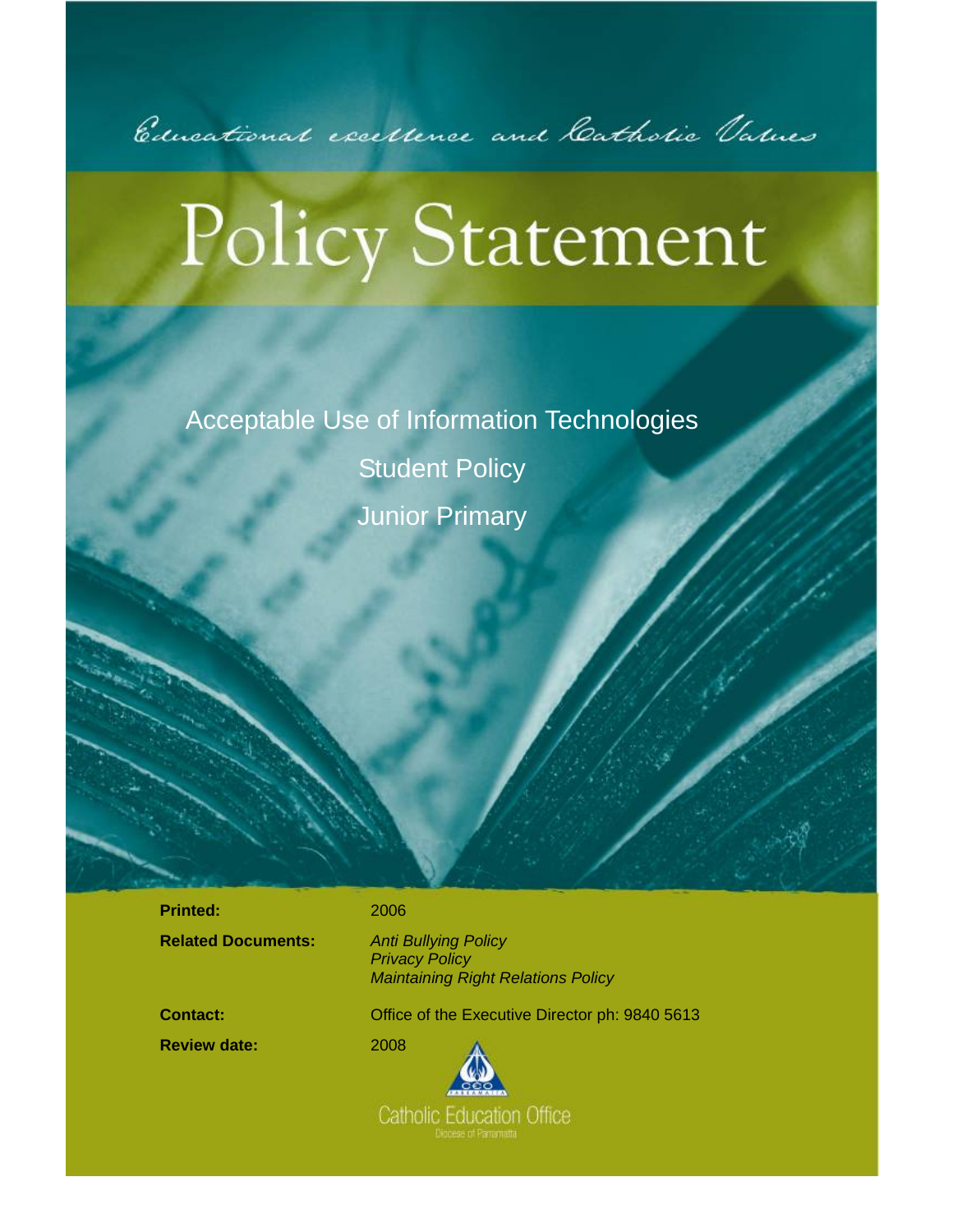

# **Policy Statement**

Acceptable Use of Information Technologies Student Policy Junior Primary

**Printed:** 2006

**Related Documents:** *Anti Bullying Policy* 

 *Privacy Policy Maintaining Right Relations Policy* 

l

**Review date:** 2008

**Contact: Contact:** Office of the Executive Director ph: 9840 5613



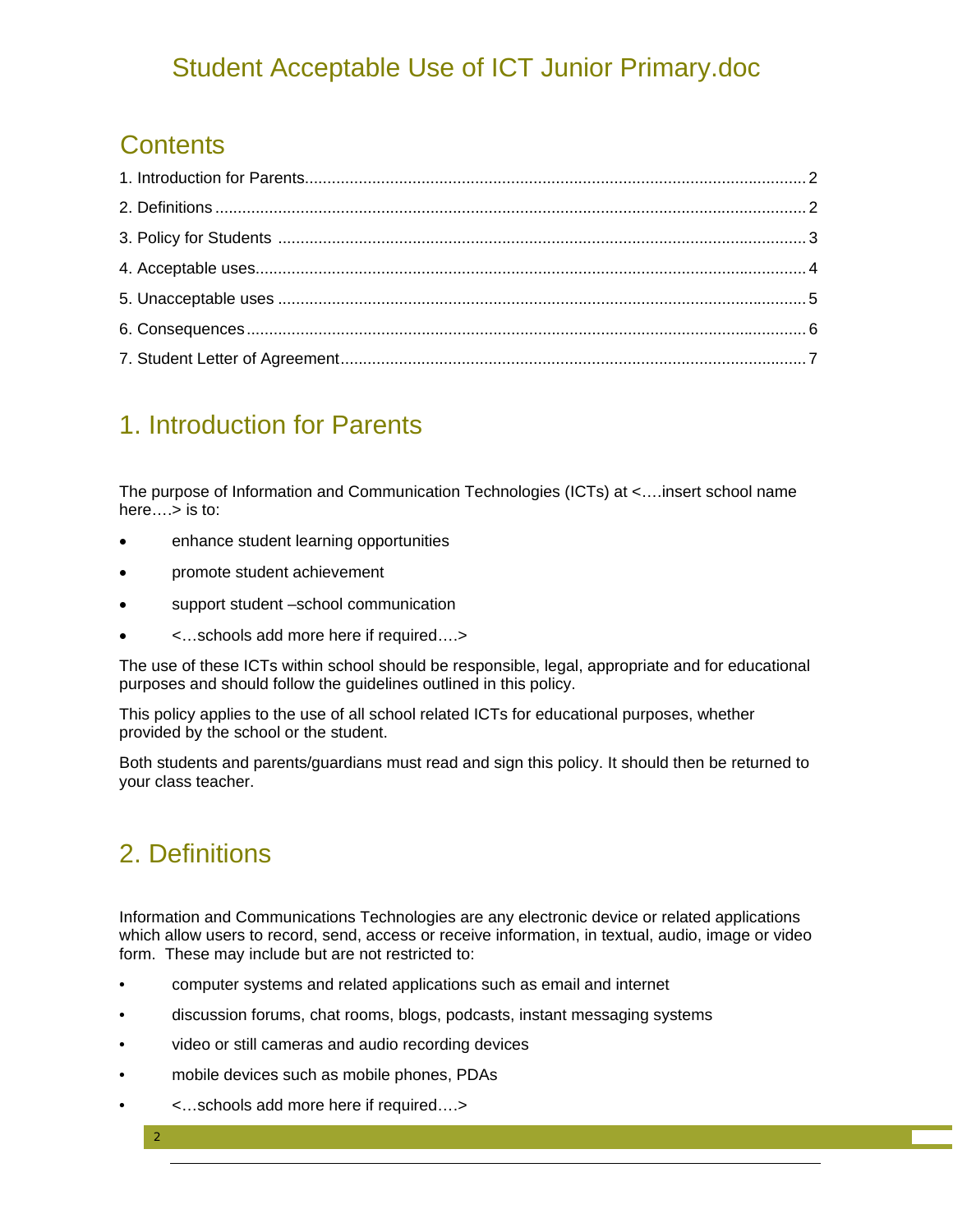#### **Contents**

#### 1. Introduction for Parents

The purpose of Information and Communication Technologies (ICTs) at <….insert school name here….> is to:

- enhance student learning opportunities
- promote student achievement
- support student –school communication
- <…schools add more here if required….>

The use of these ICTs within school should be responsible, legal, appropriate and for educational purposes and should follow the guidelines outlined in this policy.

This policy applies to the use of all school related ICTs for educational purposes, whether provided by the school or the student.

Both students and parents/guardians must read and sign this policy. It should then be returned to your class teacher.

## 2. Definitions

2

Information and Communications Technologies are any electronic device or related applications which allow users to record, send, access or receive information, in textual, audio, image or video form. These may include but are not restricted to:

- computer systems and related applications such as email and internet
- discussion forums, chat rooms, blogs, podcasts, instant messaging systems
- video or still cameras and audio recording devices
- mobile devices such as mobile phones, PDAs
- <…schools add more here if required….>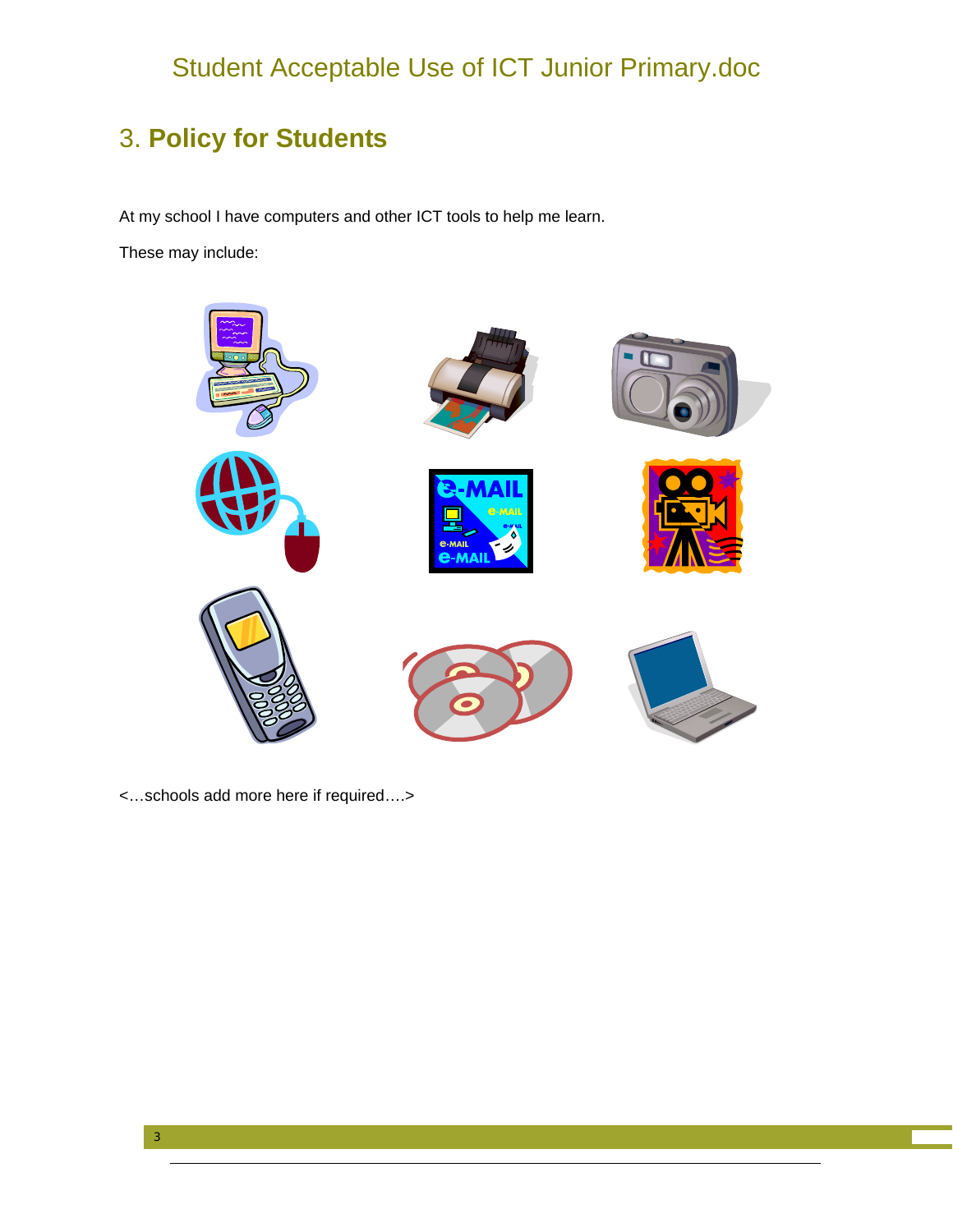#### 3. **Policy for Students**

At my school I have computers and other ICT tools to help me learn.

These may include:



<…schools add more here if required….>

3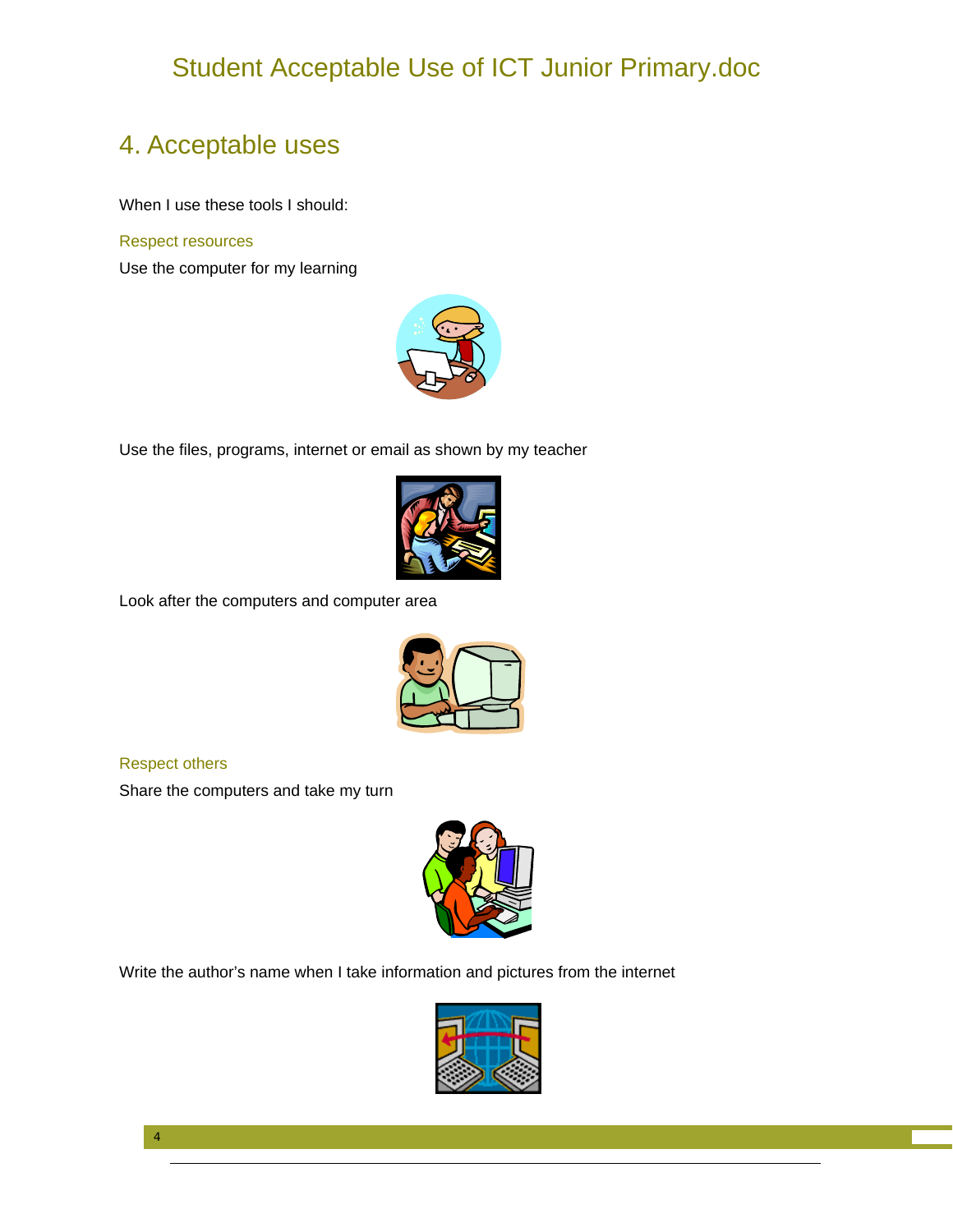#### 4. Acceptable uses

When I use these tools I should:

#### Respect resources

Use the computer for my learning



Use the files, programs, internet or email as shown by my teacher



Look after the computers and computer area



Respect others

Share the computers and take my turn



Write the author's name when I take information and pictures from the internet



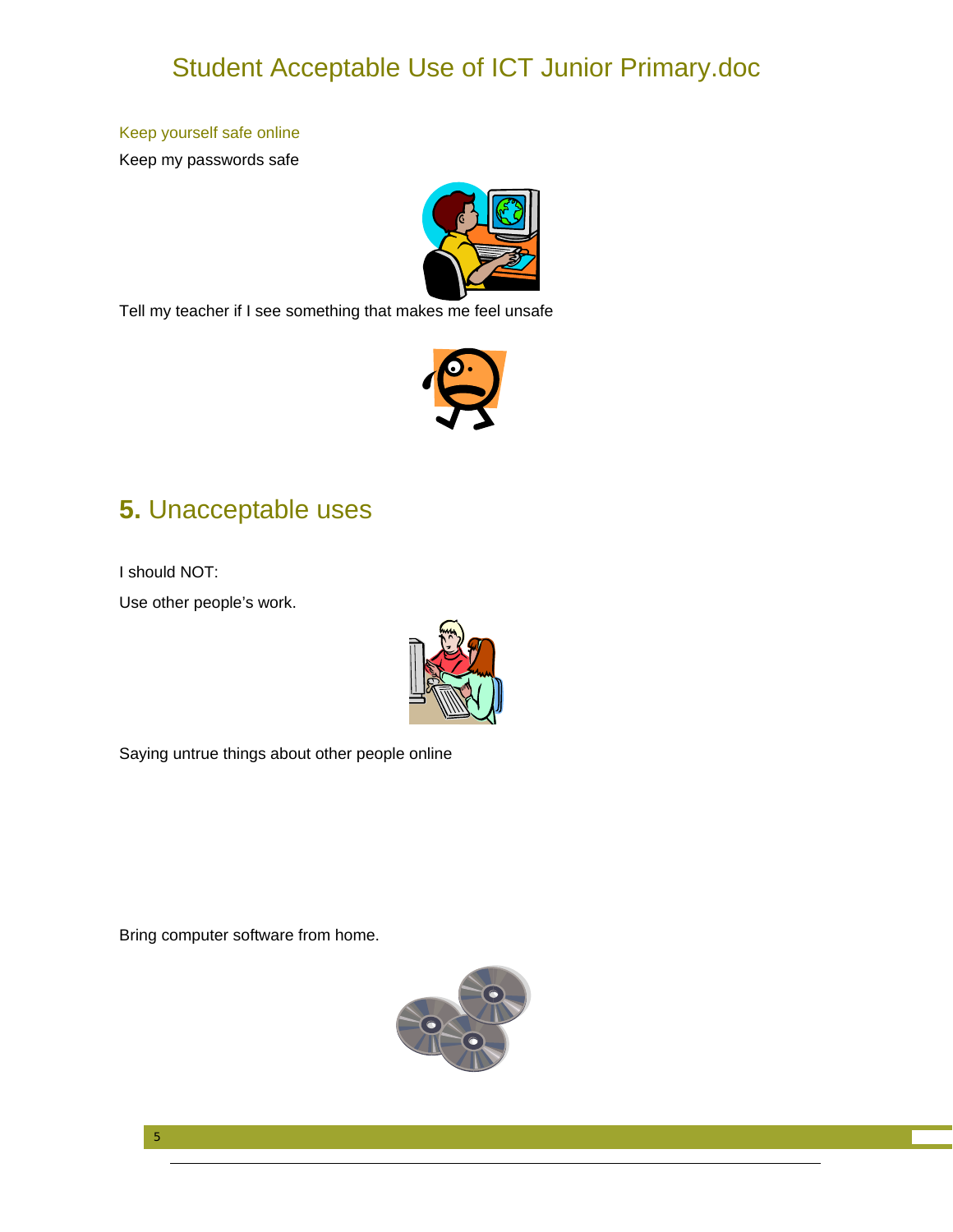#### Keep yourself safe online

Keep my passwords safe



Tell my teacher if I see something that makes me feel unsafe



#### **5.** Unacceptable uses

I should NOT:

Use other people's work.



Saying untrue things about other people online

Bring computer software from home.



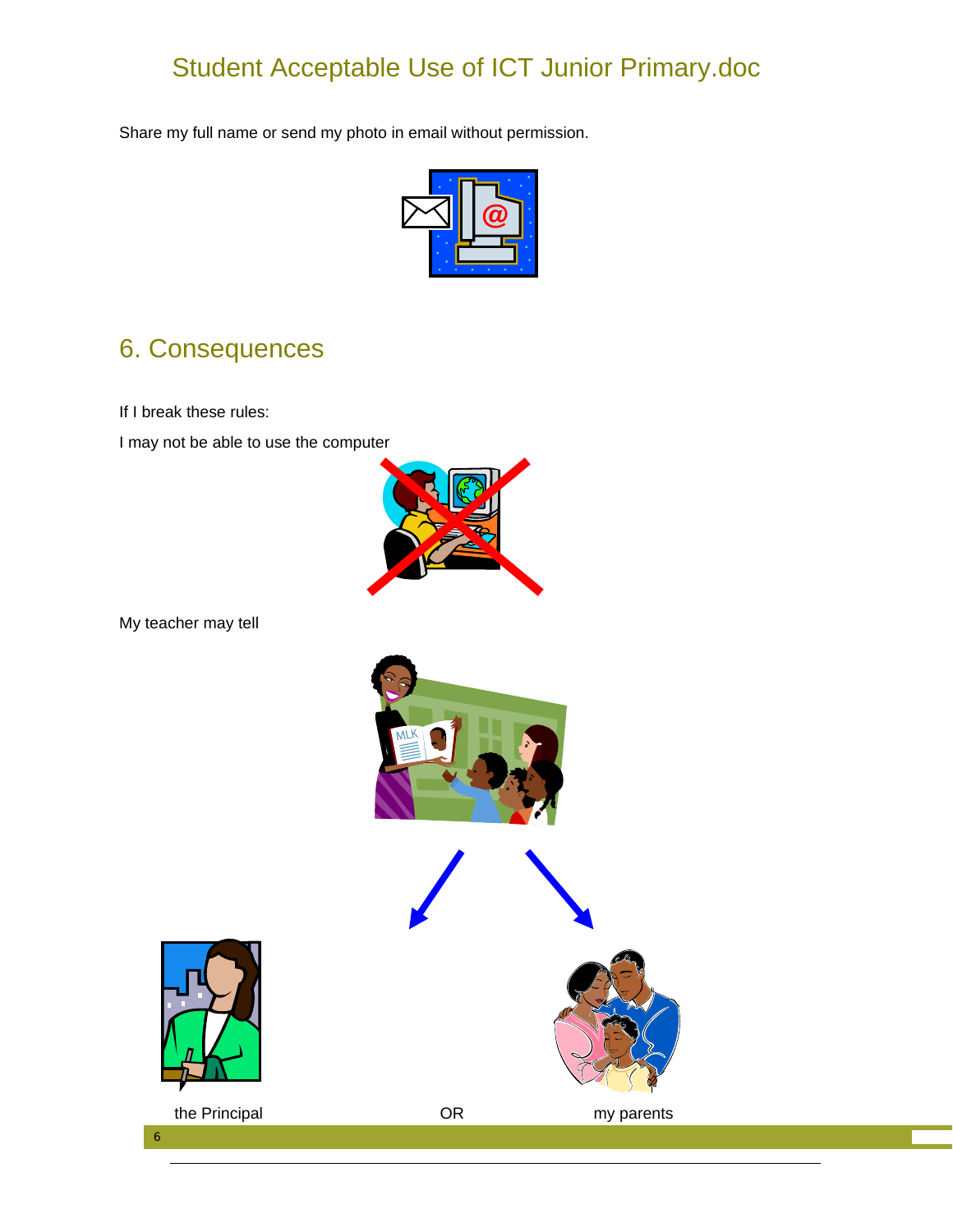Share my full name or send my photo in email without permission.



#### 6. Consequences

If I break these rules:

I may not be able to use the computer



My teacher may tell